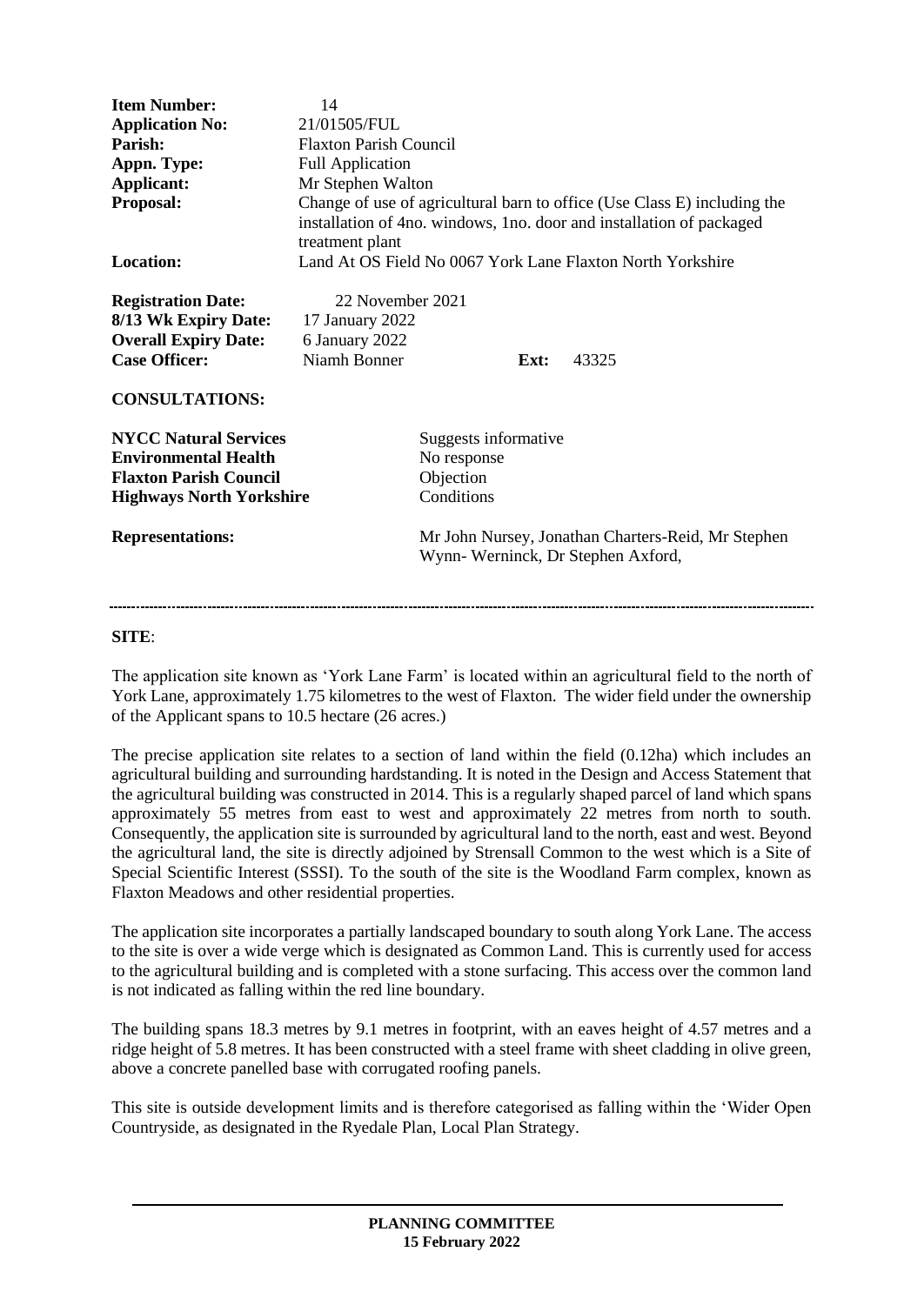| <b>Item Number:</b><br><b>Application No:</b><br>Parish:<br>Appn. Type:<br>Applicant:<br>Proposal:<br><b>Location:</b>            | 14<br>21/01505/FUL<br><b>Flaxton Parish Council</b><br><b>Full Application</b><br>Mr Stephen Walton<br>Change of use of agricultural barn to office (Use Class E) including the<br>installation of 4no. windows, 1no. door and installation of packaged<br>treatment plant<br>Land At OS Field No 0067 York Lane Flaxton North Yorkshire |                                                                |                                                    |
|-----------------------------------------------------------------------------------------------------------------------------------|------------------------------------------------------------------------------------------------------------------------------------------------------------------------------------------------------------------------------------------------------------------------------------------------------------------------------------------|----------------------------------------------------------------|----------------------------------------------------|
| <b>Registration Date:</b><br>8/13 Wk Expiry Date:<br><b>Overall Expiry Date:</b><br><b>Case Officer:</b><br><b>CONSULTATIONS:</b> | 22 November 2021<br>17 January 2022<br>6 January 2022<br>Niamh Bonner                                                                                                                                                                                                                                                                    | Ext:                                                           | 43325                                              |
| <b>NYCC Natural Services</b><br><b>Environmental Health</b><br><b>Flaxton Parish Council</b><br><b>Highways North Yorkshire</b>   |                                                                                                                                                                                                                                                                                                                                          | Suggests informative<br>No response<br>Objection<br>Conditions |                                                    |
| <b>Representations:</b>                                                                                                           |                                                                                                                                                                                                                                                                                                                                          | Wynn-Werninck, Dr Stephen Axford,                              | Mr John Nursey, Jonathan Charters-Reid, Mr Stephen |

#### **SITE**:

The application site known as 'York Lane Farm' is located within an agricultural field to the north of York Lane, approximately 1.75 kilometres to the west of Flaxton. The wider field under the ownership of the Applicant spans to 10.5 hectare (26 acres.)

The precise application site relates to a section of land within the field (0.12ha) which includes an agricultural building and surrounding hardstanding. It is noted in the Design and Access Statement that the agricultural building was constructed in 2014. This is a regularly shaped parcel of land which spans approximately 55 metres from east to west and approximately 22 metres from north to south. Consequently, the application site is surrounded by agricultural land to the north, east and west. Beyond the agricultural land, the site is directly adjoined by Strensall Common to the west which is a Site of Special Scientific Interest (SSSI). To the south of the site is the Woodland Farm complex, known as Flaxton Meadows and other residential properties.

The application site incorporates a partially landscaped boundary to south along York Lane. The access to the site is over a wide verge which is designated as Common Land. This is currently used for access to the agricultural building and is completed with a stone surfacing. This access over the common land is not indicated as falling within the red line boundary.

The building spans 18.3 metres by 9.1 metres in footprint, with an eaves height of 4.57 metres and a ridge height of 5.8 metres. It has been constructed with a steel frame with sheet cladding in olive green, above a concrete panelled base with corrugated roofing panels.

This site is outside development limits and is therefore categorised as falling within the 'Wider Open Countryside, as designated in the Ryedale Plan, Local Plan Strategy.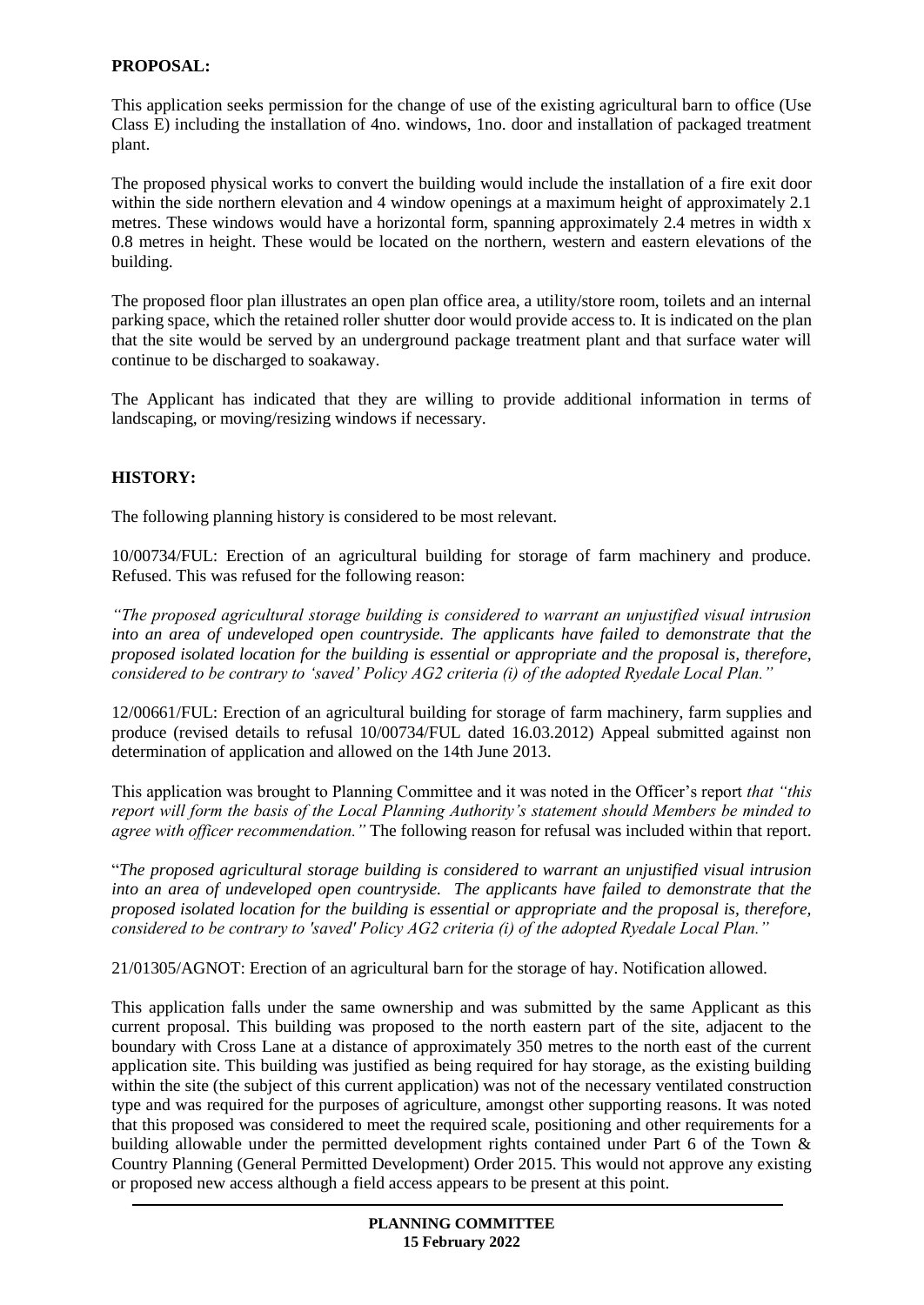#### **PROPOSAL:**

This application seeks permission for the change of use of the existing agricultural barn to office (Use Class E) including the installation of 4no. windows, 1no. door and installation of packaged treatment plant.

The proposed physical works to convert the building would include the installation of a fire exit door within the side northern elevation and 4 window openings at a maximum height of approximately 2.1 metres. These windows would have a horizontal form, spanning approximately 2.4 metres in width x 0.8 metres in height. These would be located on the northern, western and eastern elevations of the building.

The proposed floor plan illustrates an open plan office area, a utility/store room, toilets and an internal parking space, which the retained roller shutter door would provide access to. It is indicated on the plan that the site would be served by an underground package treatment plant and that surface water will continue to be discharged to soakaway.

The Applicant has indicated that they are willing to provide additional information in terms of landscaping, or moving/resizing windows if necessary.

#### **HISTORY:**

The following planning history is considered to be most relevant.

10/00734/FUL: Erection of an agricultural building for storage of farm machinery and produce. Refused. This was refused for the following reason:

*"The proposed agricultural storage building is considered to warrant an unjustified visual intrusion into an area of undeveloped open countryside. The applicants have failed to demonstrate that the proposed isolated location for the building is essential or appropriate and the proposal is, therefore, considered to be contrary to 'saved' Policy AG2 criteria (i) of the adopted Ryedale Local Plan."*

12/00661/FUL: Erection of an agricultural building for storage of farm machinery, farm supplies and produce (revised details to refusal 10/00734/FUL dated 16.03.2012) Appeal submitted against non determination of application and allowed on the 14th June 2013.

This application was brought to Planning Committee and it was noted in the Officer's report *that "this report will form the basis of the Local Planning Authority's statement should Members be minded to agree with officer recommendation."* The following reason for refusal was included within that report.

"*The proposed agricultural storage building is considered to warrant an unjustified visual intrusion into an area of undeveloped open countryside. The applicants have failed to demonstrate that the proposed isolated location for the building is essential or appropriate and the proposal is, therefore, considered to be contrary to 'saved' Policy AG2 criteria (i) of the adopted Ryedale Local Plan."*

21/01305/AGNOT: Erection of an agricultural barn for the storage of hay. Notification allowed.

This application falls under the same ownership and was submitted by the same Applicant as this current proposal. This building was proposed to the north eastern part of the site, adjacent to the boundary with Cross Lane at a distance of approximately 350 metres to the north east of the current application site. This building was justified as being required for hay storage, as the existing building within the site (the subject of this current application) was not of the necessary ventilated construction type and was required for the purposes of agriculture, amongst other supporting reasons. It was noted that this proposed was considered to meet the required scale, positioning and other requirements for a building allowable under the permitted development rights contained under Part 6 of the Town & Country Planning (General Permitted Development) Order 2015. This would not approve any existing or proposed new access although a field access appears to be present at this point.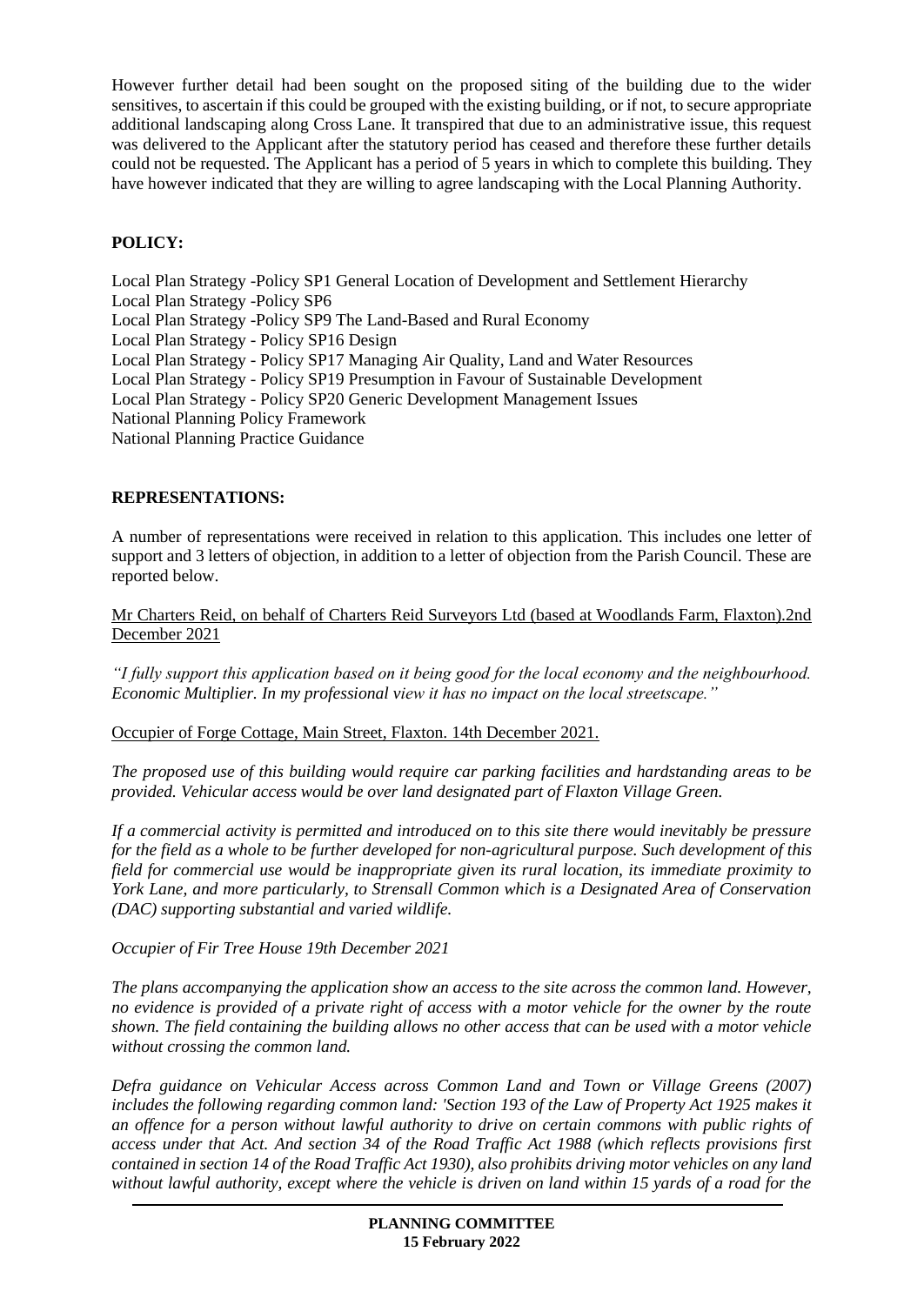However further detail had been sought on the proposed siting of the building due to the wider sensitives, to ascertain if this could be grouped with the existing building, or if not, to secure appropriate additional landscaping along Cross Lane. It transpired that due to an administrative issue, this request was delivered to the Applicant after the statutory period has ceased and therefore these further details could not be requested. The Applicant has a period of 5 years in which to complete this building. They have however indicated that they are willing to agree landscaping with the Local Planning Authority.

# **POLICY:**

Local Plan Strategy -Policy SP1 General Location of Development and Settlement Hierarchy Local Plan Strategy -Policy SP6 Local Plan Strategy -Policy SP9 The Land-Based and Rural Economy Local Plan Strategy - Policy SP16 Design Local Plan Strategy - Policy SP17 Managing Air Quality, Land and Water Resources Local Plan Strategy - Policy SP19 Presumption in Favour of Sustainable Development Local Plan Strategy - Policy SP20 Generic Development Management Issues National Planning Policy Framework National Planning Practice Guidance

#### **REPRESENTATIONS:**

A number of representations were received in relation to this application. This includes one letter of support and 3 letters of objection, in addition to a letter of objection from the Parish Council. These are reported below.

#### Mr Charters Reid, on behalf of Charters Reid Surveyors Ltd (based at Woodlands Farm, Flaxton).2nd December 2021

*"I fully support this application based on it being good for the local economy and the neighbourhood. Economic Multiplier. In my professional view it has no impact on the local streetscape."*

#### Occupier of Forge Cottage, Main Street, Flaxton. 14th December 2021.

*The proposed use of this building would require car parking facilities and hardstanding areas to be provided. Vehicular access would be over land designated part of Flaxton Village Green.*

*If a commercial activity is permitted and introduced on to this site there would inevitably be pressure for the field as a whole to be further developed for non-agricultural purpose. Such development of this field for commercial use would be inappropriate given its rural location, its immediate proximity to York Lane, and more particularly, to Strensall Common which is a Designated Area of Conservation (DAC) supporting substantial and varied wildlife.*

*Occupier of Fir Tree House 19th December 2021*

*The plans accompanying the application show an access to the site across the common land. However, no evidence is provided of a private right of access with a motor vehicle for the owner by the route shown. The field containing the building allows no other access that can be used with a motor vehicle without crossing the common land.* 

*Defra guidance on Vehicular Access across Common Land and Town or Village Greens (2007) includes the following regarding common land: 'Section 193 of the Law of Property Act 1925 makes it an offence for a person without lawful authority to drive on certain commons with public rights of access under that Act. And section 34 of the Road Traffic Act 1988 (which reflects provisions first contained in section 14 of the Road Traffic Act 1930), also prohibits driving motor vehicles on any land without lawful authority, except where the vehicle is driven on land within 15 yards of a road for the*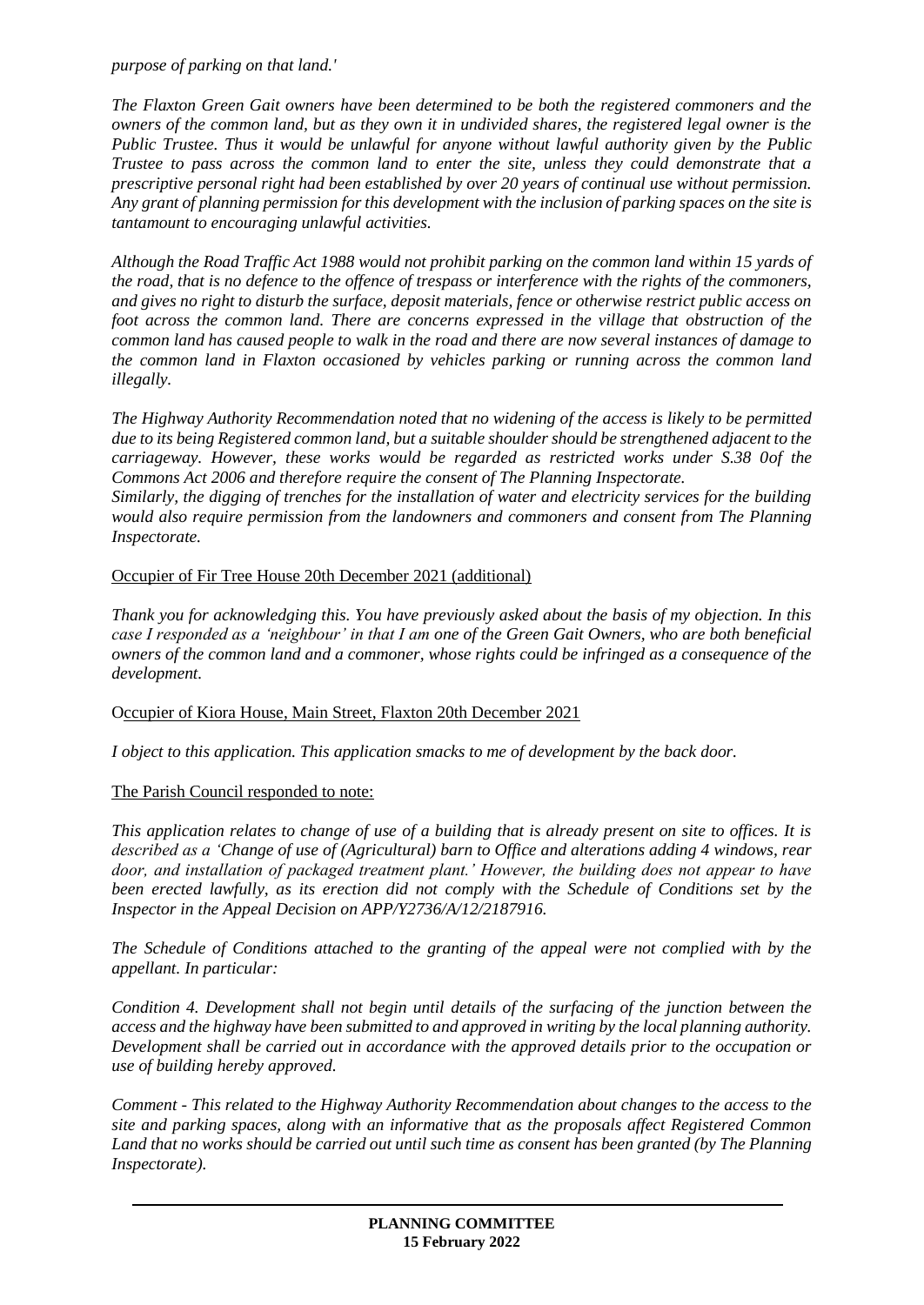*purpose of parking on that land.'*

*The Flaxton Green Gait owners have been determined to be both the registered commoners and the owners of the common land, but as they own it in undivided shares, the registered legal owner is the Public Trustee. Thus it would be unlawful for anyone without lawful authority given by the Public Trustee to pass across the common land to enter the site, unless they could demonstrate that a prescriptive personal right had been established by over 20 years of continual use without permission. Any grant of planning permission for this development with the inclusion of parking spaces on the site is tantamount to encouraging unlawful activities.*

*Although the Road Traffic Act 1988 would not prohibit parking on the common land within 15 yards of the road, that is no defence to the offence of trespass or interference with the rights of the commoners, and gives no right to disturb the surface, deposit materials, fence or otherwise restrict public access on foot across the common land. There are concerns expressed in the village that obstruction of the common land has caused people to walk in the road and there are now several instances of damage to the common land in Flaxton occasioned by vehicles parking or running across the common land illegally.* 

*The Highway Authority Recommendation noted that no widening of the access is likely to be permitted due to its being Registered common land, but a suitable shoulder should be strengthened adjacent to the carriageway. However, these works would be regarded as restricted works under S.38 0of the Commons Act 2006 and therefore require the consent of The Planning Inspectorate. Similarly, the digging of trenches for the installation of water and electricity services for the building* 

*would also require permission from the landowners and commoners and consent from The Planning Inspectorate.*

Occupier of Fir Tree House 20th December 2021 (additional)

*Thank you for acknowledging this. You have previously asked about the basis of my objection. In this case I responded as a 'neighbour' in that I am one of the Green Gait Owners, who are both beneficial owners of the common land and a commoner, whose rights could be infringed as a consequence of the development.*

## Occupier of Kiora House, Main Street, Flaxton 20th December 2021

*I object to this application. This application smacks to me of development by the back door.*

## The Parish Council responded to note:

*This application relates to change of use of a building that is already present on site to offices. It is described as a 'Change of use of (Agricultural) barn to Office and alterations adding 4 windows, rear door, and installation of packaged treatment plant.' However, the building does not appear to have been erected lawfully, as its erection did not comply with the Schedule of Conditions set by the Inspector in the Appeal Decision on APP/Y2736/A/12/2187916.*

*The Schedule of Conditions attached to the granting of the appeal were not complied with by the appellant. In particular:*

*Condition 4. Development shall not begin until details of the surfacing of the junction between the access and the highway have been submitted to and approved in writing by the local planning authority. Development shall be carried out in accordance with the approved details prior to the occupation or use of building hereby approved.* 

*Comment - This related to the Highway Authority Recommendation about changes to the access to the site and parking spaces, along with an informative that as the proposals affect Registered Common Land that no works should be carried out until such time as consent has been granted (by The Planning Inspectorate).*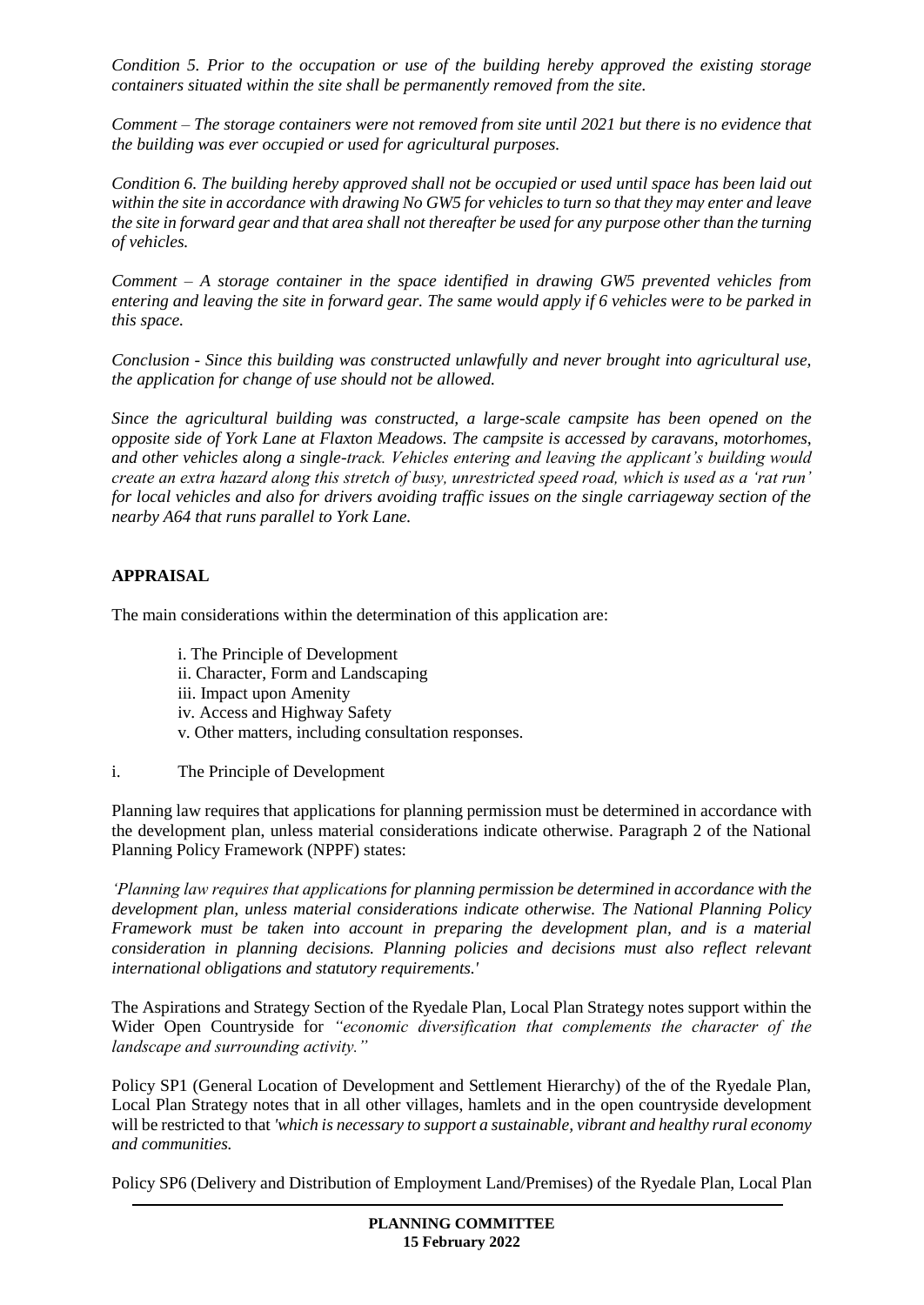*Condition 5. Prior to the occupation or use of the building hereby approved the existing storage containers situated within the site shall be permanently removed from the site.*

*Comment – The storage containers were not removed from site until 2021 but there is no evidence that the building was ever occupied or used for agricultural purposes.* 

*Condition 6. The building hereby approved shall not be occupied or used until space has been laid out within the site in accordance with drawing No GW5 for vehicles to turn so that they may enter and leave the site in forward gear and that area shall not thereafter be used for any purpose other than the turning of vehicles.*

*Comment – A storage container in the space identified in drawing GW5 prevented vehicles from entering and leaving the site in forward gear. The same would apply if 6 vehicles were to be parked in this space.* 

*Conclusion - Since this building was constructed unlawfully and never brought into agricultural use, the application for change of use should not be allowed.*

*Since the agricultural building was constructed, a large-scale campsite has been opened on the opposite side of York Lane at Flaxton Meadows. The campsite is accessed by caravans, motorhomes, and other vehicles along a single-track. Vehicles entering and leaving the applicant's building would create an extra hazard along this stretch of busy, unrestricted speed road, which is used as a 'rat run' for local vehicles and also for drivers avoiding traffic issues on the single carriageway section of the nearby A64 that runs parallel to York Lane.*

## **APPRAISAL**

The main considerations within the determination of this application are:

i. The Principle of Development ii. Character, Form and Landscaping iii. Impact upon Amenity iv. Access and Highway Safety v. Other matters, including consultation responses.

i. The Principle of Development

Planning law requires that applications for planning permission must be determined in accordance with the development plan, unless material considerations indicate otherwise. Paragraph 2 of the National Planning Policy Framework (NPPF) states:

*'Planning law requires that applications for planning permission be determined in accordance with the development plan, unless material considerations indicate otherwise. The National Planning Policy Framework must be taken into account in preparing the development plan, and is a material consideration in planning decisions. Planning policies and decisions must also reflect relevant international obligations and statutory requirements.'*

The Aspirations and Strategy Section of the Ryedale Plan, Local Plan Strategy notes support within the Wider Open Countryside for *"economic diversification that complements the character of the landscape and surrounding activity."*

Policy SP1 (General Location of Development and Settlement Hierarchy) of the of the Ryedale Plan, Local Plan Strategy notes that in all other villages, hamlets and in the open countryside development will be restricted to that *'which is necessary to support a sustainable, vibrant and healthy rural economy and communities.*

Policy SP6 (Delivery and Distribution of Employment Land/Premises) of the Ryedale Plan, Local Plan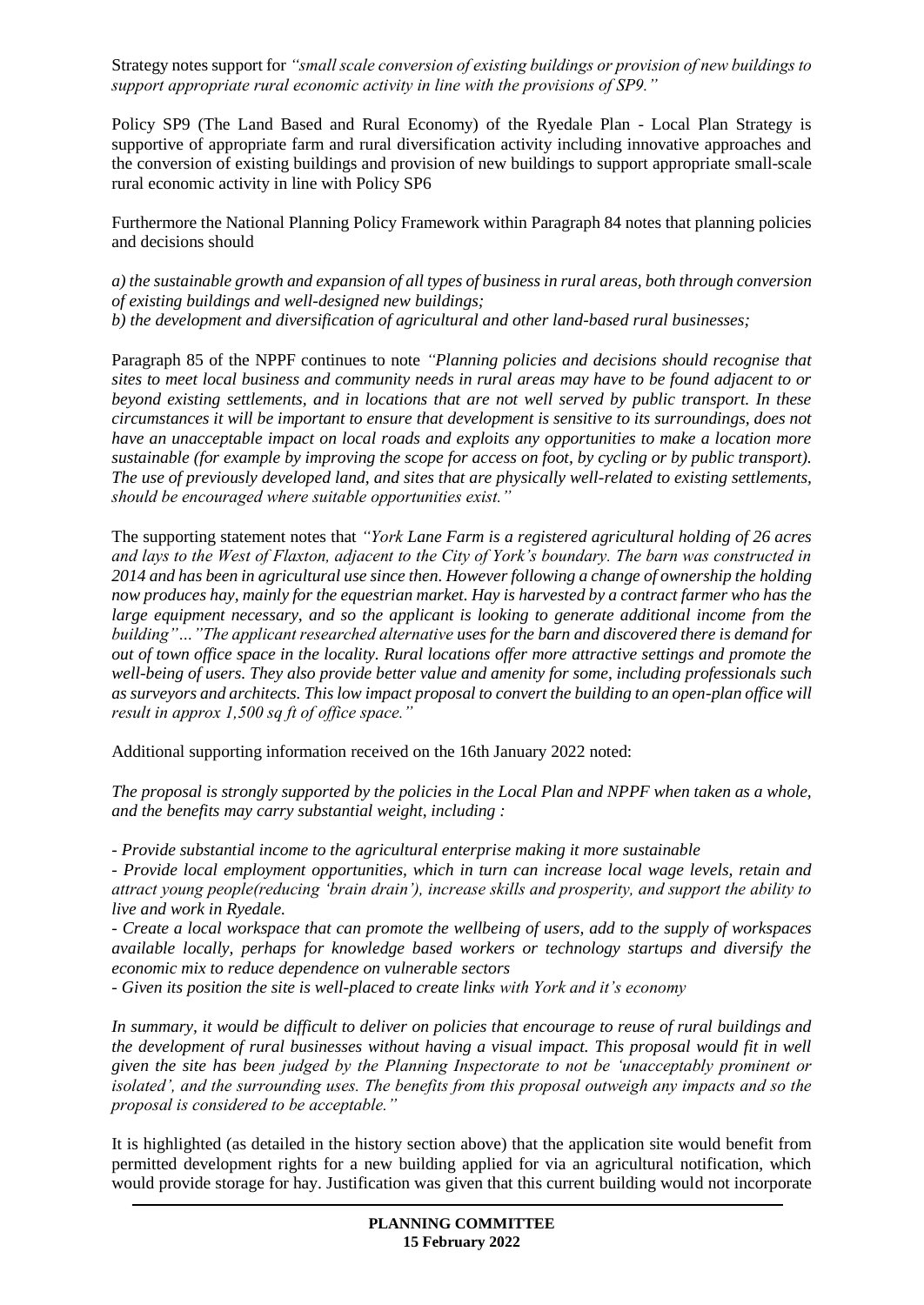Strategy notes support for *"small scale conversion of existing buildings or provision of new buildings to support appropriate rural economic activity in line with the provisions of SP9."* 

Policy SP9 (The Land Based and Rural Economy) of the Ryedale Plan - Local Plan Strategy is supportive of appropriate farm and rural diversification activity including innovative approaches and the conversion of existing buildings and provision of new buildings to support appropriate small-scale rural economic activity in line with Policy SP6

Furthermore the National Planning Policy Framework within Paragraph 84 notes that planning policies and decisions should

*a) the sustainable growth and expansion of all types of business in rural areas, both through conversion of existing buildings and well-designed new buildings; b) the development and diversification of agricultural and other land-based rural businesses;*

Paragraph 85 of the NPPF continues to note *"Planning policies and decisions should recognise that sites to meet local business and community needs in rural areas may have to be found adjacent to or beyond existing settlements, and in locations that are not well served by public transport. In these circumstances it will be important to ensure that development is sensitive to its surroundings, does not have an unacceptable impact on local roads and exploits any opportunities to make a location more sustainable (for example by improving the scope for access on foot, by cycling or by public transport). The use of previously developed land, and sites that are physically well-related to existing settlements, should be encouraged where suitable opportunities exist."*

The supporting statement notes that *"York Lane Farm is a registered agricultural holding of 26 acres and lays to the West of Flaxton, adjacent to the City of York's boundary. The barn was constructed in 2014 and has been in agricultural use since then. However following a change of ownership the holding now produces hay, mainly for the equestrian market. Hay is harvested by a contract farmer who has the large equipment necessary, and so the applicant is looking to generate additional income from the building"…"The applicant researched alternative uses for the barn and discovered there is demand for out of town office space in the locality. Rural locations offer more attractive settings and promote the well-being of users. They also provide better value and amenity for some, including professionals such as surveyors and architects. This low impact proposal to convert the building to an open-plan office will result in approx 1,500 sq ft of office space."*

Additional supporting information received on the 16th January 2022 noted:

*The proposal is strongly supported by the policies in the Local Plan and NPPF when taken as a whole, and the benefits may carry substantial weight, including :*

*- Provide substantial income to the agricultural enterprise making it more sustainable*

*- Provide local employment opportunities, which in turn can increase local wage levels, retain and attract young people(reducing 'brain drain'), increase skills and prosperity, and support the ability to live and work in Ryedale.*

*- Create a local workspace that can promote the wellbeing of users, add to the supply of workspaces available locally, perhaps for knowledge based workers or technology startups and diversify the economic mix to reduce dependence on vulnerable sectors*

*- Given its position the site is well-placed to create links with York and it's economy*

*In summary, it would be difficult to deliver on policies that encourage to reuse of rural buildings and the development of rural businesses without having a visual impact. This proposal would fit in well given the site has been judged by the Planning Inspectorate to not be 'unacceptably prominent or isolated', and the surrounding uses. The benefits from this proposal outweigh any impacts and so the proposal is considered to be acceptable."*

It is highlighted (as detailed in the history section above) that the application site would benefit from permitted development rights for a new building applied for via an agricultural notification, which would provide storage for hay. Justification was given that this current building would not incorporate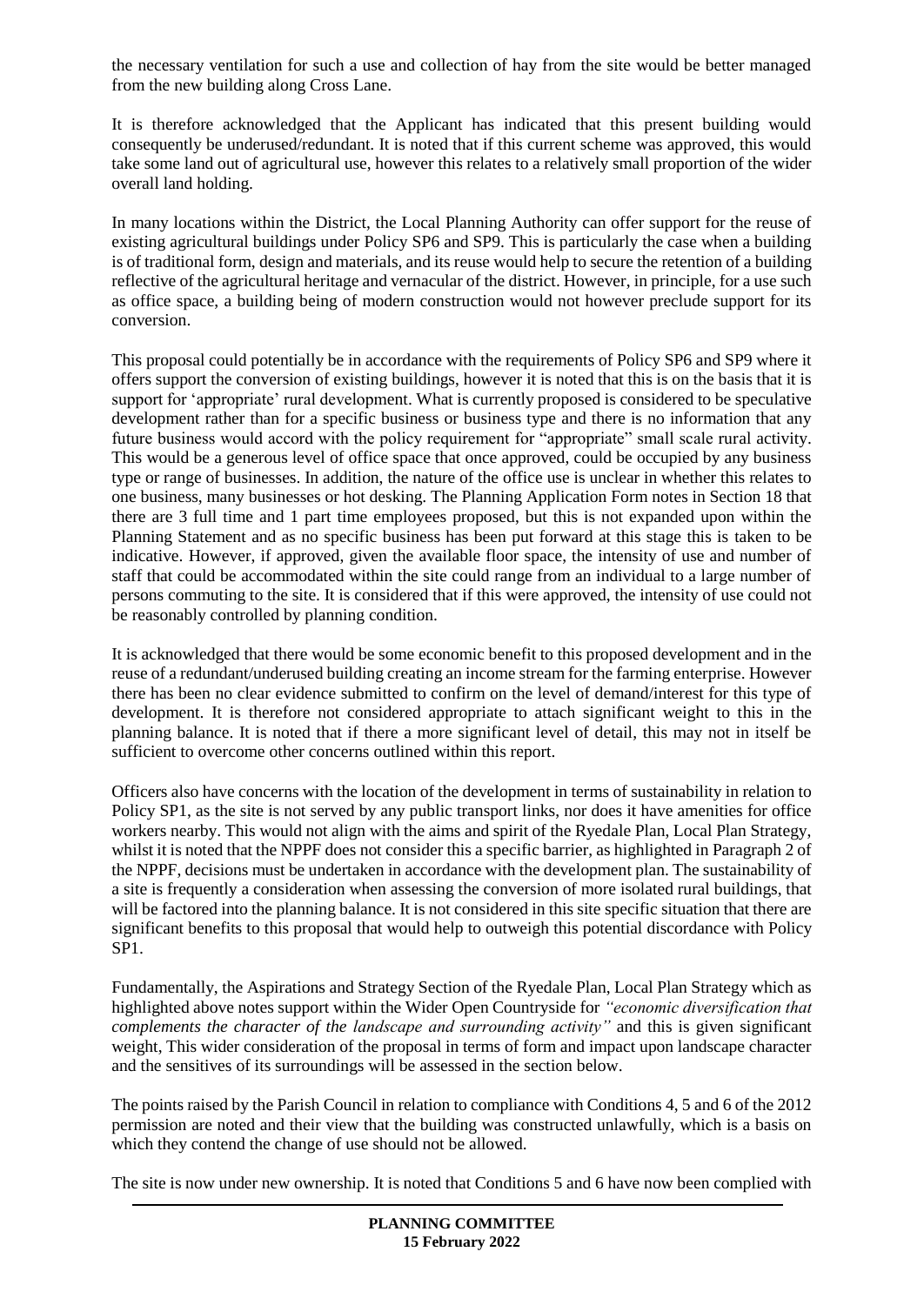the necessary ventilation for such a use and collection of hay from the site would be better managed from the new building along Cross Lane.

It is therefore acknowledged that the Applicant has indicated that this present building would consequently be underused/redundant. It is noted that if this current scheme was approved, this would take some land out of agricultural use, however this relates to a relatively small proportion of the wider overall land holding.

In many locations within the District, the Local Planning Authority can offer support for the reuse of existing agricultural buildings under Policy SP6 and SP9. This is particularly the case when a building is of traditional form, design and materials, and its reuse would help to secure the retention of a building reflective of the agricultural heritage and vernacular of the district. However, in principle, for a use such as office space, a building being of modern construction would not however preclude support for its conversion.

This proposal could potentially be in accordance with the requirements of Policy SP6 and SP9 where it offers support the conversion of existing buildings, however it is noted that this is on the basis that it is support for 'appropriate' rural development. What is currently proposed is considered to be speculative development rather than for a specific business or business type and there is no information that any future business would accord with the policy requirement for "appropriate" small scale rural activity. This would be a generous level of office space that once approved, could be occupied by any business type or range of businesses. In addition, the nature of the office use is unclear in whether this relates to one business, many businesses or hot desking. The Planning Application Form notes in Section 18 that there are 3 full time and 1 part time employees proposed, but this is not expanded upon within the Planning Statement and as no specific business has been put forward at this stage this is taken to be indicative. However, if approved, given the available floor space, the intensity of use and number of staff that could be accommodated within the site could range from an individual to a large number of persons commuting to the site. It is considered that if this were approved, the intensity of use could not be reasonably controlled by planning condition.

It is acknowledged that there would be some economic benefit to this proposed development and in the reuse of a redundant/underused building creating an income stream for the farming enterprise. However there has been no clear evidence submitted to confirm on the level of demand/interest for this type of development. It is therefore not considered appropriate to attach significant weight to this in the planning balance. It is noted that if there a more significant level of detail, this may not in itself be sufficient to overcome other concerns outlined within this report.

Officers also have concerns with the location of the development in terms of sustainability in relation to Policy SP1, as the site is not served by any public transport links, nor does it have amenities for office workers nearby. This would not align with the aims and spirit of the Ryedale Plan, Local Plan Strategy, whilst it is noted that the NPPF does not consider this a specific barrier, as highlighted in Paragraph 2 of the NPPF, decisions must be undertaken in accordance with the development plan. The sustainability of a site is frequently a consideration when assessing the conversion of more isolated rural buildings, that will be factored into the planning balance. It is not considered in this site specific situation that there are significant benefits to this proposal that would help to outweigh this potential discordance with Policy SP1.

Fundamentally, the Aspirations and Strategy Section of the Ryedale Plan, Local Plan Strategy which as highlighted above notes support within the Wider Open Countryside for *"economic diversification that complements the character of the landscape and surrounding activity"* and this is given significant weight, This wider consideration of the proposal in terms of form and impact upon landscape character and the sensitives of its surroundings will be assessed in the section below.

The points raised by the Parish Council in relation to compliance with Conditions 4, 5 and 6 of the 2012 permission are noted and their view that the building was constructed unlawfully, which is a basis on which they contend the change of use should not be allowed.

The site is now under new ownership. It is noted that Conditions 5 and 6 have now been complied with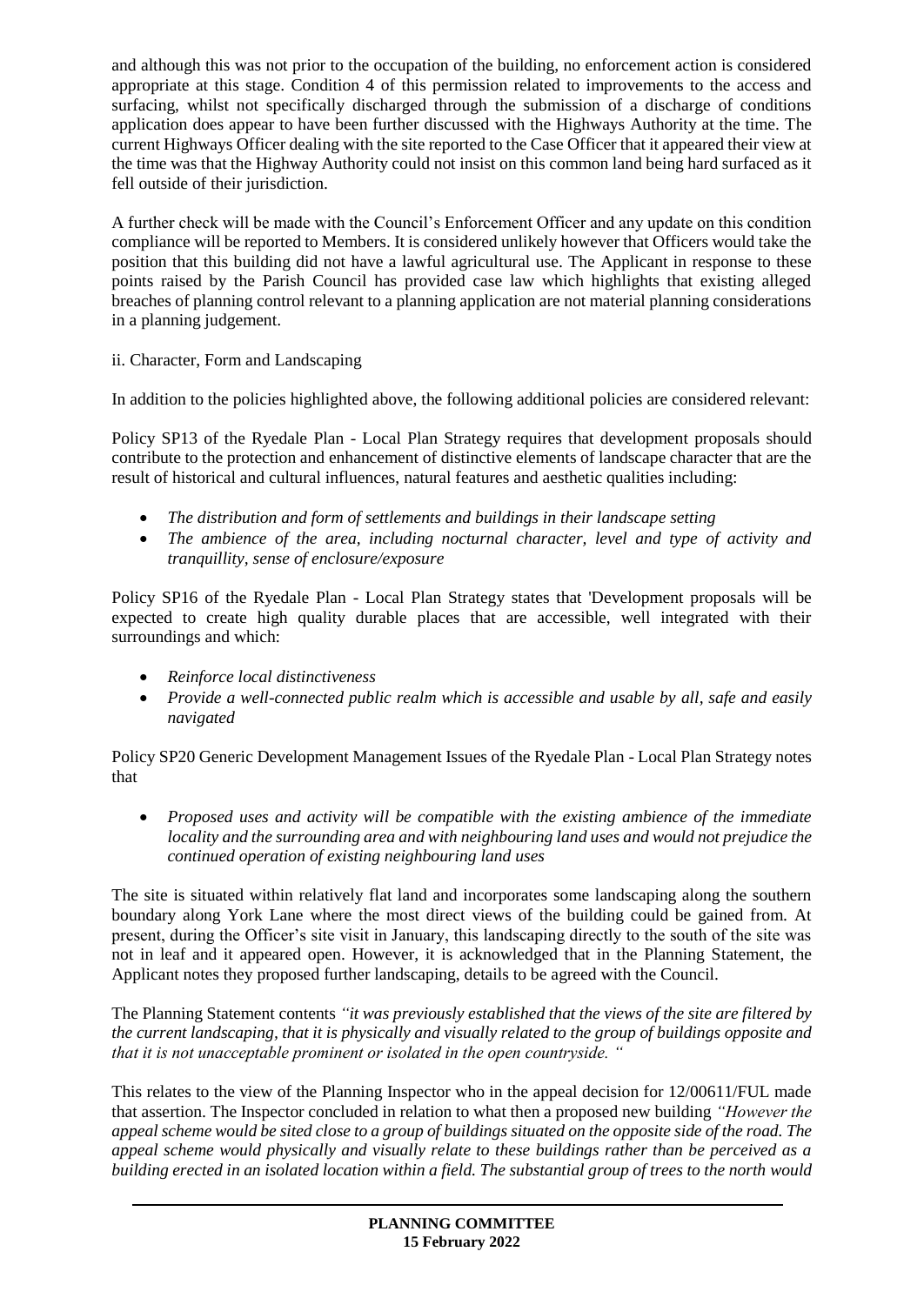and although this was not prior to the occupation of the building, no enforcement action is considered appropriate at this stage. Condition 4 of this permission related to improvements to the access and surfacing, whilst not specifically discharged through the submission of a discharge of conditions application does appear to have been further discussed with the Highways Authority at the time. The current Highways Officer dealing with the site reported to the Case Officer that it appeared their view at the time was that the Highway Authority could not insist on this common land being hard surfaced as it fell outside of their jurisdiction.

A further check will be made with the Council's Enforcement Officer and any update on this condition compliance will be reported to Members. It is considered unlikely however that Officers would take the position that this building did not have a lawful agricultural use. The Applicant in response to these points raised by the Parish Council has provided case law which highlights that existing alleged breaches of planning control relevant to a planning application are not material planning considerations in a planning judgement.

ii. Character, Form and Landscaping

In addition to the policies highlighted above, the following additional policies are considered relevant:

Policy SP13 of the Ryedale Plan - Local Plan Strategy requires that development proposals should contribute to the protection and enhancement of distinctive elements of landscape character that are the result of historical and cultural influences, natural features and aesthetic qualities including:

- *The distribution and form of settlements and buildings in their landscape setting*
- *The ambience of the area, including nocturnal character, level and type of activity and tranquillity, sense of enclosure/exposure*

Policy SP16 of the Ryedale Plan - Local Plan Strategy states that 'Development proposals will be expected to create high quality durable places that are accessible, well integrated with their surroundings and which:

- *Reinforce local distinctiveness*
- *Provide a well-connected public realm which is accessible and usable by all, safe and easily navigated*

Policy SP20 Generic Development Management Issues of the Ryedale Plan - Local Plan Strategy notes that

 *Proposed uses and activity will be compatible with the existing ambience of the immediate locality and the surrounding area and with neighbouring land uses and would not prejudice the continued operation of existing neighbouring land uses*

The site is situated within relatively flat land and incorporates some landscaping along the southern boundary along York Lane where the most direct views of the building could be gained from. At present, during the Officer's site visit in January, this landscaping directly to the south of the site was not in leaf and it appeared open. However, it is acknowledged that in the Planning Statement, the Applicant notes they proposed further landscaping, details to be agreed with the Council.

The Planning Statement contents *"it was previously established that the views of the site are filtered by the current landscaping, that it is physically and visually related to the group of buildings opposite and that it is not unacceptable prominent or isolated in the open countryside. "*

This relates to the view of the Planning Inspector who in the appeal decision for 12/00611/FUL made that assertion. The Inspector concluded in relation to what then a proposed new building *"However the appeal scheme would be sited close to a group of buildings situated on the opposite side of the road. The appeal scheme would physically and visually relate to these buildings rather than be perceived as a building erected in an isolated location within a field. The substantial group of trees to the north would*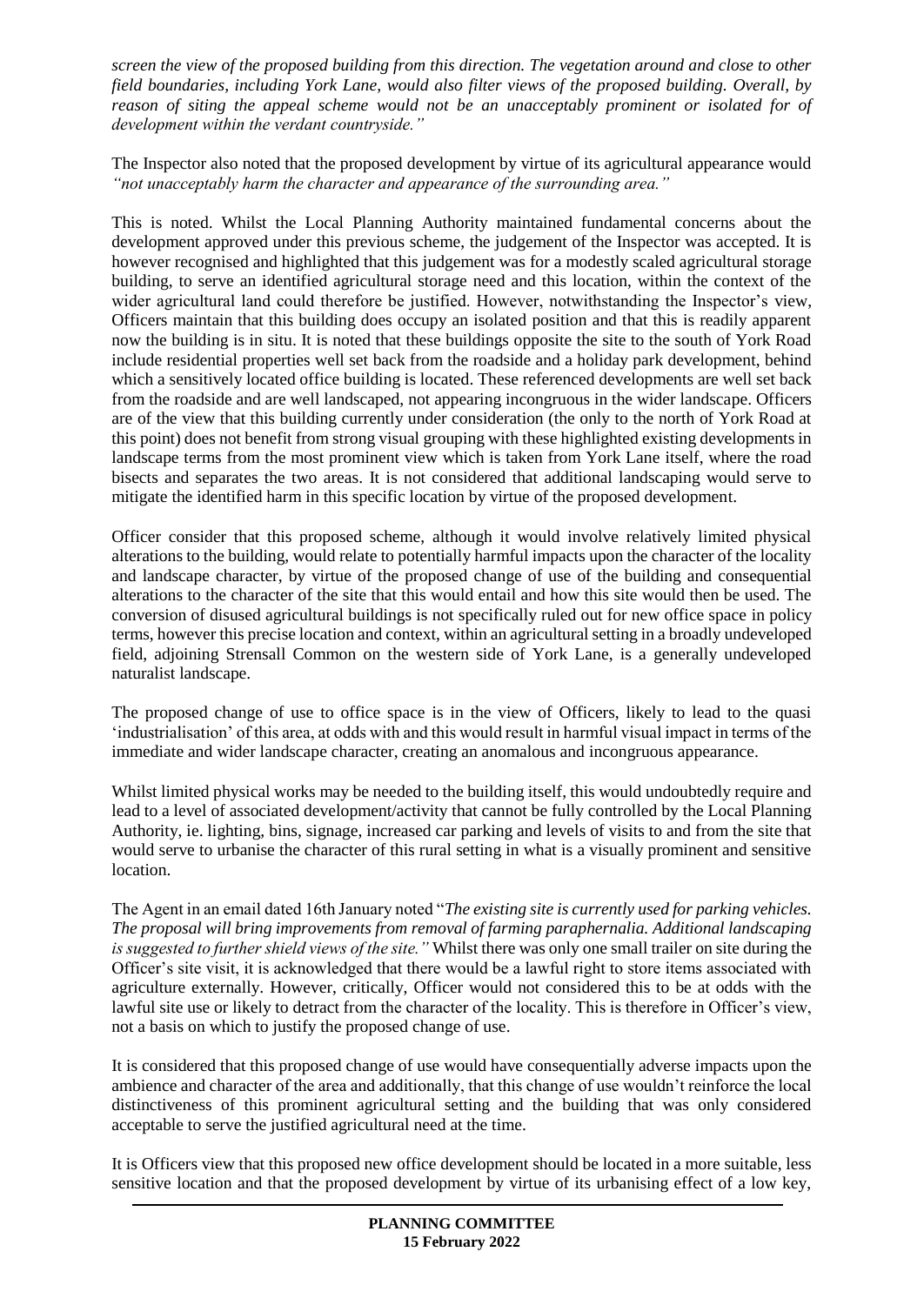*screen the view of the proposed building from this direction. The vegetation around and close to other field boundaries, including York Lane, would also filter views of the proposed building. Overall, by*  reason of siting the appeal scheme would not be an unacceptably prominent or isolated for of *development within the verdant countryside."* 

The Inspector also noted that the proposed development by virtue of its agricultural appearance would *"not unacceptably harm the character and appearance of the surrounding area."*

This is noted. Whilst the Local Planning Authority maintained fundamental concerns about the development approved under this previous scheme, the judgement of the Inspector was accepted. It is however recognised and highlighted that this judgement was for a modestly scaled agricultural storage building, to serve an identified agricultural storage need and this location, within the context of the wider agricultural land could therefore be justified. However, notwithstanding the Inspector's view, Officers maintain that this building does occupy an isolated position and that this is readily apparent now the building is in situ. It is noted that these buildings opposite the site to the south of York Road include residential properties well set back from the roadside and a holiday park development, behind which a sensitively located office building is located. These referenced developments are well set back from the roadside and are well landscaped, not appearing incongruous in the wider landscape. Officers are of the view that this building currently under consideration (the only to the north of York Road at this point) does not benefit from strong visual grouping with these highlighted existing developments in landscape terms from the most prominent view which is taken from York Lane itself, where the road bisects and separates the two areas. It is not considered that additional landscaping would serve to mitigate the identified harm in this specific location by virtue of the proposed development.

Officer consider that this proposed scheme, although it would involve relatively limited physical alterations to the building, would relate to potentially harmful impacts upon the character of the locality and landscape character, by virtue of the proposed change of use of the building and consequential alterations to the character of the site that this would entail and how this site would then be used. The conversion of disused agricultural buildings is not specifically ruled out for new office space in policy terms, however this precise location and context, within an agricultural setting in a broadly undeveloped field, adjoining Strensall Common on the western side of York Lane, is a generally undeveloped naturalist landscape.

The proposed change of use to office space is in the view of Officers, likely to lead to the quasi 'industrialisation' of this area, at odds with and this would result in harmful visual impact in terms of the immediate and wider landscape character, creating an anomalous and incongruous appearance.

Whilst limited physical works may be needed to the building itself, this would undoubtedly require and lead to a level of associated development/activity that cannot be fully controlled by the Local Planning Authority, ie. lighting, bins, signage, increased car parking and levels of visits to and from the site that would serve to urbanise the character of this rural setting in what is a visually prominent and sensitive location.

The Agent in an email dated 16th January noted "*The existing site is currently used for parking vehicles. The proposal will bring improvements from removal of farming paraphernalia. Additional landscaping is suggested to further shield views of the site."* Whilst there was only one small trailer on site during the Officer's site visit, it is acknowledged that there would be a lawful right to store items associated with agriculture externally. However, critically, Officer would not considered this to be at odds with the lawful site use or likely to detract from the character of the locality. This is therefore in Officer's view, not a basis on which to justify the proposed change of use.

It is considered that this proposed change of use would have consequentially adverse impacts upon the ambience and character of the area and additionally, that this change of use wouldn't reinforce the local distinctiveness of this prominent agricultural setting and the building that was only considered acceptable to serve the justified agricultural need at the time.

It is Officers view that this proposed new office development should be located in a more suitable, less sensitive location and that the proposed development by virtue of its urbanising effect of a low key,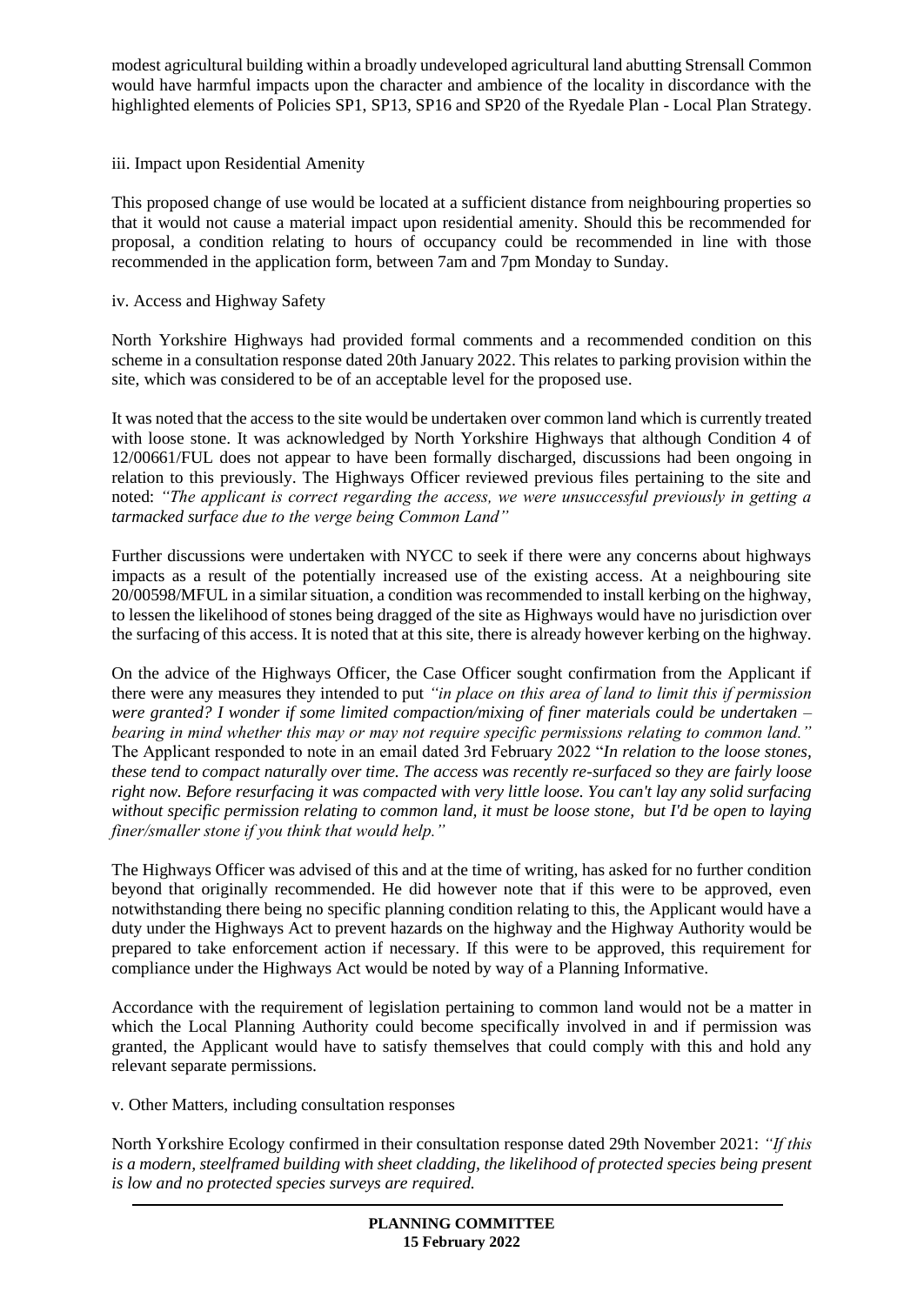modest agricultural building within a broadly undeveloped agricultural land abutting Strensall Common would have harmful impacts upon the character and ambience of the locality in discordance with the highlighted elements of Policies SP1, SP13, SP16 and SP20 of the Ryedale Plan - Local Plan Strategy.

## iii. Impact upon Residential Amenity

This proposed change of use would be located at a sufficient distance from neighbouring properties so that it would not cause a material impact upon residential amenity. Should this be recommended for proposal, a condition relating to hours of occupancy could be recommended in line with those recommended in the application form, between 7am and 7pm Monday to Sunday.

# iv. Access and Highway Safety

North Yorkshire Highways had provided formal comments and a recommended condition on this scheme in a consultation response dated 20th January 2022. This relates to parking provision within the site, which was considered to be of an acceptable level for the proposed use.

It was noted that the access to the site would be undertaken over common land which is currently treated with loose stone. It was acknowledged by North Yorkshire Highways that although Condition 4 of 12/00661/FUL does not appear to have been formally discharged, discussions had been ongoing in relation to this previously. The Highways Officer reviewed previous files pertaining to the site and noted: *"The applicant is correct regarding the access, we were unsuccessful previously in getting a tarmacked surface due to the verge being Common Land"*

Further discussions were undertaken with NYCC to seek if there were any concerns about highways impacts as a result of the potentially increased use of the existing access. At a neighbouring site 20/00598/MFUL in a similar situation, a condition was recommended to install kerbing on the highway, to lessen the likelihood of stones being dragged of the site as Highways would have no jurisdiction over the surfacing of this access. It is noted that at this site, there is already however kerbing on the highway.

On the advice of the Highways Officer, the Case Officer sought confirmation from the Applicant if there were any measures they intended to put *"in place on this area of land to limit this if permission were granted? I wonder if some limited compaction/mixing of finer materials could be undertaken – bearing in mind whether this may or may not require specific permissions relating to common land."* The Applicant responded to note in an email dated 3rd February 2022 "*In relation to the loose stones, these tend to compact naturally over time. The access was recently re-surfaced so they are fairly loose right now. Before resurfacing it was compacted with very little loose. You can't lay any solid surfacing without specific permission relating to common land, it must be loose stone, but I'd be open to laying finer/smaller stone if you think that would help."*

The Highways Officer was advised of this and at the time of writing, has asked for no further condition beyond that originally recommended. He did however note that if this were to be approved, even notwithstanding there being no specific planning condition relating to this, the Applicant would have a duty under the Highways Act to prevent hazards on the highway and the Highway Authority would be prepared to take enforcement action if necessary. If this were to be approved, this requirement for compliance under the Highways Act would be noted by way of a Planning Informative.

Accordance with the requirement of legislation pertaining to common land would not be a matter in which the Local Planning Authority could become specifically involved in and if permission was granted, the Applicant would have to satisfy themselves that could comply with this and hold any relevant separate permissions.

v. Other Matters, including consultation responses

North Yorkshire Ecology confirmed in their consultation response dated 29th November 2021: *"If this is a modern, steelframed building with sheet cladding, the likelihood of protected species being present is low and no protected species surveys are required.*